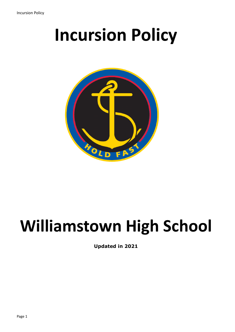# **Incursion Policy**



## **Williamstown High School**

**Updated in 2021**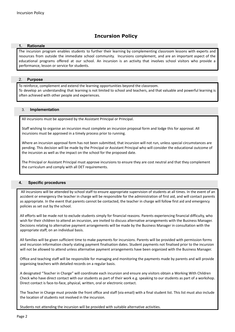### **Incursion Policy**

#### **1. Rationale**

The incursion program enables students to further their learning by complementing classroom lessons with experts and resources from outside the immediate school community. Incursions complement, and are an important aspect of the educational programs offered at our school. An incursion is an activity that involves school visitors who provide a performance, lesson or service for students.

#### 2. **Purpose**

To reinforce, complement and extend the learning opportunities beyond the classroom. To develop an understanding that learning is not limited to school and teachers, and that valuable and powerful learning is often achieved with other people and experiences.

#### 3. **Implementation**

All incursions must be approved by the Assistant Principal or Principal.

Staff wishing to organise an incursion must complete an incursion proposal form and lodge this for approval. All incursions must be approved in a timely process prior to running.

Where an incursion approval form has not been submitted, that incursion will not run, unless special circumstances are pending. This decision will be made by the Principal or Assistant Principal who will consider the educational outcome of the incursion as well as the impact on the school for the proposed date.

The Principal or Assistant Principal must approve incursions to ensure they are cost neutral and that they complement the curriculum and comply with all DET requirements.

#### **4. Specific procedures**

All incursions will be attended by school staff to ensure appropriate supervision of students at all times. In the event of an accident or emergency the teacher in charge will be responsible for the administration of first aid, and will contact parents as appropriate. In the event that parents cannot be contacted, the teacher in charge will follow first aid and emergency policies as set out by the school.

All efforts will be made not to exclude students simply for financial reasons. Parents experiencing financial difficulty, who wish for their children to attend an incursion, are invited to discuss alternative arrangements with the Business Manager. Decisions relating to alternative payment arrangements will be made by the Business Manager in consultation with the appropriate staff, on an individual basis.

All families will be given sufficient time to make payments for incursions. Parents will be provided with permission forms and incursion information clearly stating payment finalisation dates. Student payments not finalised prior to the incursion will not be allowed to attend unless alternative payment arrangements have been organized with the Business Manager.

Office and teaching staff will be responsible for managing and monitoring the payments made by parents and will provide organising teachers with detailed records on a regular basis.

A designated "Teacher in Charge" will coordinate each incursion and ensure any visitors obtain a Working With Children Check who have direct contact with our students as part of their work e.g. speaking to our students as part of a workshop. Direct contact is face-to-face, physical, written, oral or electronic contact.

The Teacher in Charge must provide the front office and staff (via email) with a final student list. This list must also include the location of students not involved in the incursion.

Students not attending the incursion will be provided with suitable alternative activities.